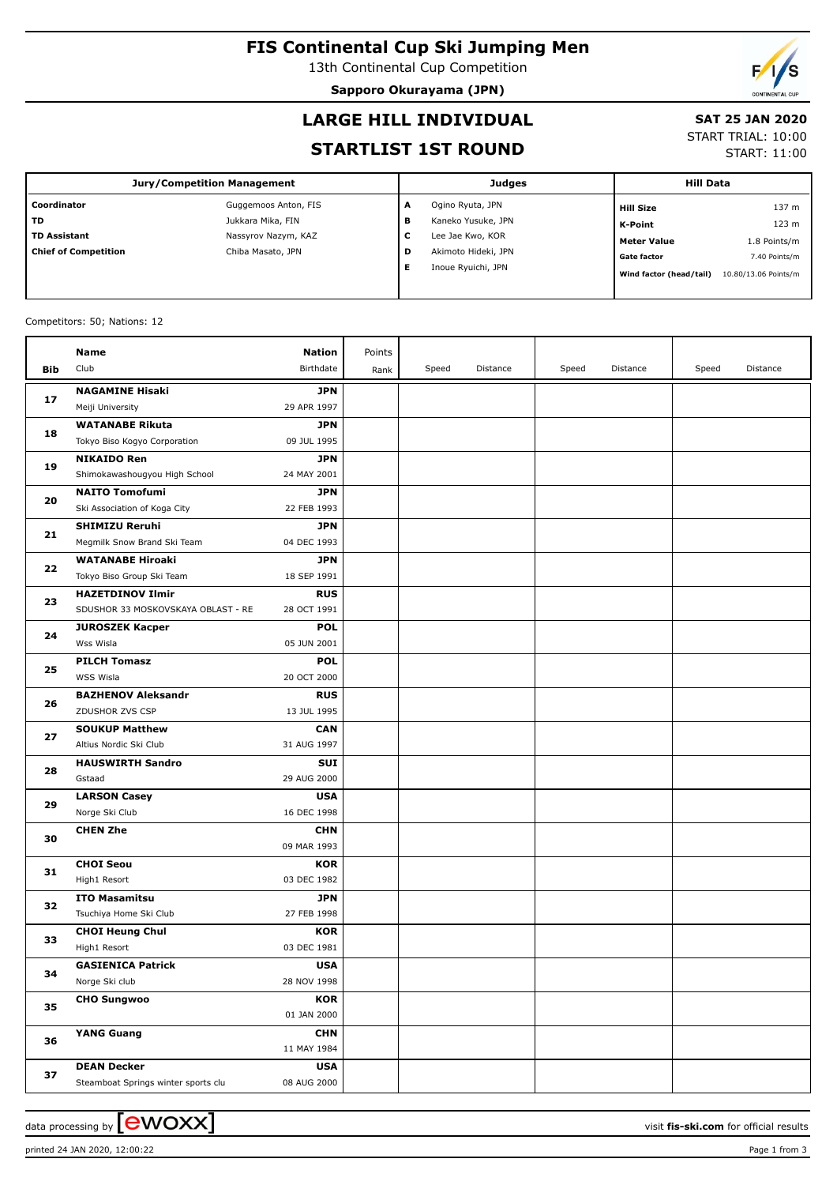# **FIS Continental Cup Ski Jumping Men**

13th Continental Cup Competition

**Sapporo Okurayama (JPN)**



#### **LARGE HILL INDIVIDUAL**

#### **SAT 25 JAN 2020**

#### **STARTLIST 1ST ROUND**

START TRIAL: 10:00

START: 11:00

| <b>Jury/Competition Management</b> |                      |   | <b>Judges</b>       | <b>Hill Data</b>        |                      |  |
|------------------------------------|----------------------|---|---------------------|-------------------------|----------------------|--|
| Coordinator                        | Guggemoos Anton, FIS | A | Ogino Ryuta, JPN    | <b>Hill Size</b>        | 137 m                |  |
| TD                                 | Jukkara Mika, FIN    | в | Kaneko Yusuke, JPN  | K-Point                 | 123 m                |  |
| <b>TD Assistant</b>                | Nassyrov Nazym, KAZ  | с | Lee Jae Kwo, KOR    | <b>Meter Value</b>      | 1.8 Points/m         |  |
| <b>Chief of Competition</b>        | Chiba Masato, JPN    | D | Akimoto Hideki, JPN | <b>Gate factor</b>      | 7.40 Points/m        |  |
|                                    |                      | Е | Inoue Ryuichi, JPN  | Wind factor (head/tail) | 10.80/13.06 Points/m |  |

#### Competitors: 50; Nations: 12

|     | Name                                       | <b>Nation</b>             | Points |       |          |       |          |       |          |
|-----|--------------------------------------------|---------------------------|--------|-------|----------|-------|----------|-------|----------|
| Bib | Club                                       | Birthdate                 | Rank   | Speed | Distance | Speed | Distance | Speed | Distance |
|     |                                            |                           |        |       |          |       |          |       |          |
| 17  | <b>NAGAMINE Hisaki</b><br>Meiji University | <b>JPN</b><br>29 APR 1997 |        |       |          |       |          |       |          |
|     | <b>WATANABE Rikuta</b>                     | <b>JPN</b>                |        |       |          |       |          |       |          |
| 18  | Tokyo Biso Kogyo Corporation               | 09 JUL 1995               |        |       |          |       |          |       |          |
|     | <b>NIKAIDO Ren</b>                         | <b>JPN</b>                |        |       |          |       |          |       |          |
| 19  | Shimokawashougyou High School              | 24 MAY 2001               |        |       |          |       |          |       |          |
|     | <b>NAITO Tomofumi</b>                      | <b>JPN</b>                |        |       |          |       |          |       |          |
| 20  | Ski Association of Koga City               | 22 FEB 1993               |        |       |          |       |          |       |          |
|     | <b>SHIMIZU Reruhi</b>                      | <b>JPN</b>                |        |       |          |       |          |       |          |
| 21  | Megmilk Snow Brand Ski Team                | 04 DEC 1993               |        |       |          |       |          |       |          |
|     | <b>WATANABE Hiroaki</b>                    | <b>JPN</b>                |        |       |          |       |          |       |          |
| 22  | Tokyo Biso Group Ski Team                  | 18 SEP 1991               |        |       |          |       |          |       |          |
|     | <b>HAZETDINOV Ilmir</b>                    | <b>RUS</b>                |        |       |          |       |          |       |          |
| 23  | SDUSHOR 33 MOSKOVSKAYA OBLAST - RE         | 28 OCT 1991               |        |       |          |       |          |       |          |
|     | <b>JUROSZEK Kacper</b>                     | <b>POL</b>                |        |       |          |       |          |       |          |
| 24  | Wss Wisla                                  | 05 JUN 2001               |        |       |          |       |          |       |          |
| 25  | <b>PILCH Tomasz</b>                        | <b>POL</b>                |        |       |          |       |          |       |          |
|     | WSS Wisla                                  | 20 OCT 2000               |        |       |          |       |          |       |          |
| 26  | <b>BAZHENOV Aleksandr</b>                  | <b>RUS</b>                |        |       |          |       |          |       |          |
|     | ZDUSHOR ZVS CSP                            | 13 JUL 1995               |        |       |          |       |          |       |          |
| 27  | <b>SOUKUP Matthew</b>                      | <b>CAN</b>                |        |       |          |       |          |       |          |
|     | Altius Nordic Ski Club                     | 31 AUG 1997               |        |       |          |       |          |       |          |
| 28  | <b>HAUSWIRTH Sandro</b>                    | <b>SUI</b>                |        |       |          |       |          |       |          |
|     | Gstaad                                     | 29 AUG 2000               |        |       |          |       |          |       |          |
| 29  | <b>LARSON Casey</b>                        | <b>USA</b>                |        |       |          |       |          |       |          |
|     | Norge Ski Club                             | 16 DEC 1998               |        |       |          |       |          |       |          |
| 30  | <b>CHEN Zhe</b>                            | <b>CHN</b>                |        |       |          |       |          |       |          |
|     |                                            | 09 MAR 1993               |        |       |          |       |          |       |          |
| 31  | <b>CHOI Seou</b>                           | <b>KOR</b>                |        |       |          |       |          |       |          |
|     | High1 Resort                               | 03 DEC 1982               |        |       |          |       |          |       |          |
| 32  | <b>ITO Masamitsu</b>                       | <b>JPN</b>                |        |       |          |       |          |       |          |
|     | Tsuchiya Home Ski Club                     | 27 FEB 1998               |        |       |          |       |          |       |          |
| 33  | <b>CHOI Heung Chul</b>                     | <b>KOR</b>                |        |       |          |       |          |       |          |
|     | High1 Resort                               | 03 DEC 1981               |        |       |          |       |          |       |          |
| 34  | <b>GASIENICA Patrick</b>                   | <b>USA</b>                |        |       |          |       |          |       |          |
|     | Norge Ski club                             | 28 NOV 1998               |        |       |          |       |          |       |          |
| 35  | <b>CHO Sungwoo</b>                         | <b>KOR</b>                |        |       |          |       |          |       |          |
|     |                                            | 01 JAN 2000               |        |       |          |       |          |       |          |
| 36  | <b>YANG Guang</b>                          | <b>CHN</b>                |        |       |          |       |          |       |          |
|     |                                            | 11 MAY 1984               |        |       |          |       |          |       |          |
| 37  | <b>DEAN Decker</b>                         | <b>USA</b>                |        |       |          |       |          |       |          |
|     | Steamboat Springs winter sports clu        | 08 AUG 2000               |        |       |          |       |          |       |          |

printed 24 JAN 2020, 12:00:22 Page 1 from 3

data processing by **CWOXX**  $\blacksquare$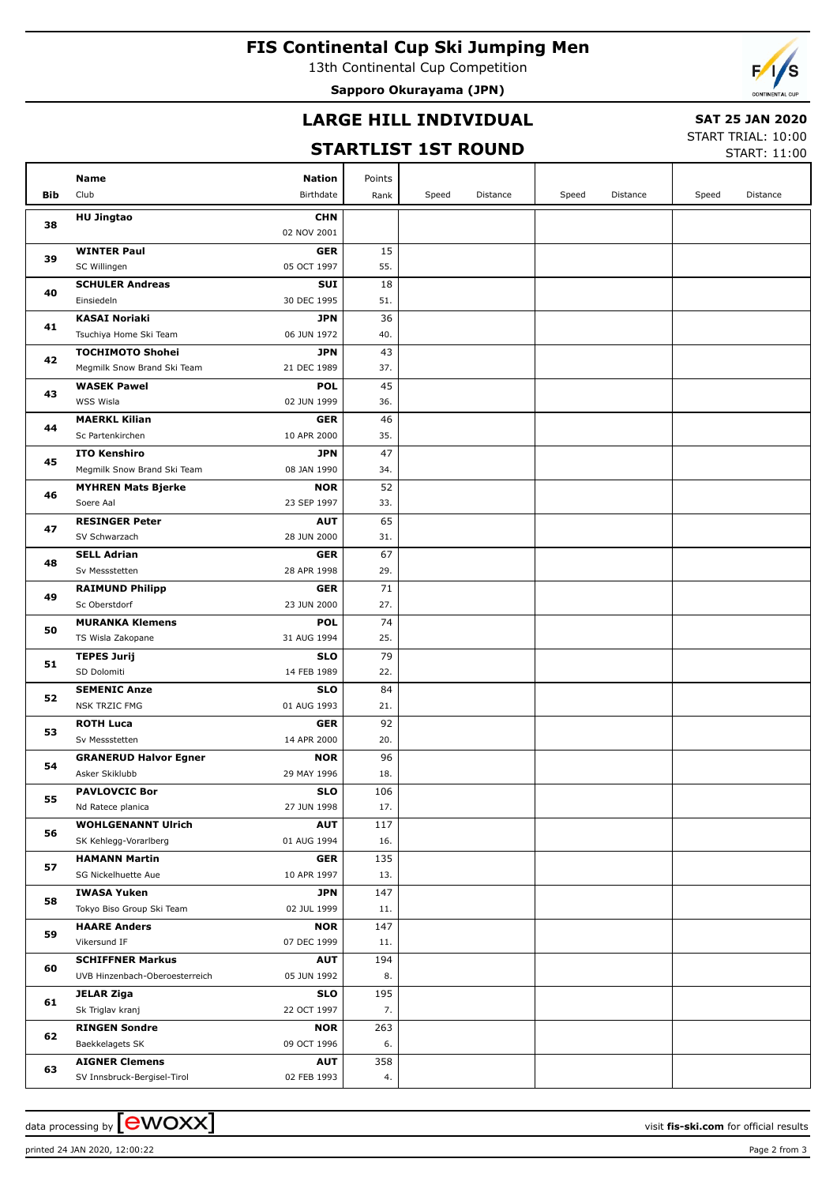# **FIS Continental Cup Ski Jumping Men**

13th Continental Cup Competition

**Sapporo Okurayama (JPN)**



### **LARGE HILL INDIVIDUAL**

# **SAT 25 JAN 2020**

### **STARTLIST 1ST ROUND**

START TRIAL: 10:00

|     |                                                                          |           |       | SIARILISI ISI KUUNU |       |          |       | START: 11:00 |
|-----|--------------------------------------------------------------------------|-----------|-------|---------------------|-------|----------|-------|--------------|
|     | Name<br>Nation                                                           | Points    |       |                     |       |          |       |              |
| Bib | Club<br>Birthdate                                                        | Rank      | Speed | Distance            | Speed | Distance | Speed | Distance     |
|     |                                                                          |           |       |                     |       |          |       |              |
| 38  | <b>HU Jingtao</b><br><b>CHN</b><br>02 NOV 2001                           |           |       |                     |       |          |       |              |
|     | <b>WINTER Paul</b><br><b>GER</b>                                         | 15        |       |                     |       |          |       |              |
| 39  | SC Willingen<br>05 OCT 1997                                              | 55.       |       |                     |       |          |       |              |
|     | <b>SCHULER Andreas</b><br><b>SUI</b>                                     | 18        |       |                     |       |          |       |              |
| 40  | Einsiedeln<br>30 DEC 1995                                                | 51.       |       |                     |       |          |       |              |
|     | <b>KASAI Noriaki</b><br><b>JPN</b>                                       | 36        |       |                     |       |          |       |              |
| 41  | Tsuchiya Home Ski Team<br>06 JUN 1972                                    | 40.       |       |                     |       |          |       |              |
|     | <b>TOCHIMOTO Shohei</b><br><b>JPN</b>                                    | 43        |       |                     |       |          |       |              |
| 42  | Megmilk Snow Brand Ski Team<br>21 DEC 1989                               | 37.       |       |                     |       |          |       |              |
|     | <b>WASEK Pawel</b><br><b>POL</b>                                         | 45        |       |                     |       |          |       |              |
| 43  | WSS Wisla<br>02 JUN 1999                                                 | 36.       |       |                     |       |          |       |              |
| 44  | <b>MAERKL Kilian</b><br><b>GER</b>                                       | 46        |       |                     |       |          |       |              |
|     | Sc Partenkirchen<br>10 APR 2000                                          | 35.       |       |                     |       |          |       |              |
| 45  | <b>ITO Kenshiro</b><br><b>JPN</b>                                        | 47        |       |                     |       |          |       |              |
|     | Megmilk Snow Brand Ski Team<br>08 JAN 1990                               | 34.       |       |                     |       |          |       |              |
| 46  | <b>MYHREN Mats Bjerke</b><br><b>NOR</b>                                  | 52        |       |                     |       |          |       |              |
|     | Soere Aal<br>23 SEP 1997                                                 | 33.       |       |                     |       |          |       |              |
| 47  | <b>RESINGER Peter</b><br><b>AUT</b>                                      | 65        |       |                     |       |          |       |              |
|     | SV Schwarzach<br>28 JUN 2000                                             | 31.       |       |                     |       |          |       |              |
| 48  | <b>SELL Adrian</b><br><b>GER</b>                                         | 67        |       |                     |       |          |       |              |
|     | Sv Messstetten<br>28 APR 1998                                            | 29.       |       |                     |       |          |       |              |
| 49  | <b>RAIMUND Philipp</b><br><b>GER</b>                                     | 71        |       |                     |       |          |       |              |
|     | Sc Oberstdorf<br>23 JUN 2000                                             | 27.       |       |                     |       |          |       |              |
| 50  | <b>MURANKA Klemens</b><br><b>POL</b><br>TS Wisla Zakopane<br>31 AUG 1994 | 74<br>25. |       |                     |       |          |       |              |
|     | <b>TEPES Jurij</b><br><b>SLO</b>                                         | 79        |       |                     |       |          |       |              |
| 51  | SD Dolomiti<br>14 FEB 1989                                               | 22.       |       |                     |       |          |       |              |
|     | <b>SEMENIC Anze</b><br><b>SLO</b>                                        | 84        |       |                     |       |          |       |              |
| 52  | <b>NSK TRZIC FMG</b><br>01 AUG 1993                                      | 21.       |       |                     |       |          |       |              |
|     | <b>ROTH Luca</b><br><b>GER</b>                                           | 92        |       |                     |       |          |       |              |
| 53  | Sv Messstetten<br>14 APR 2000                                            | 20.       |       |                     |       |          |       |              |
|     | <b>NOR</b><br><b>GRANERUD Halvor Egner</b>                               | 96        |       |                     |       |          |       |              |
| 54  | Asker Skiklubb<br>29 MAY 1996                                            | 18.       |       |                     |       |          |       |              |
| 55  | <b>PAVLOVCIC Bor</b><br><b>SLO</b>                                       | 106       |       |                     |       |          |       |              |
|     | Nd Ratece planica<br>27 JUN 1998                                         | 17.       |       |                     |       |          |       |              |
| 56  | <b>WOHLGENANNT Ulrich</b><br><b>AUT</b>                                  | 117       |       |                     |       |          |       |              |
|     | SK Kehlegg-Vorarlberg<br>01 AUG 1994                                     | 16.       |       |                     |       |          |       |              |
| 57  | <b>HAMANN Martin</b><br><b>GER</b>                                       | 135       |       |                     |       |          |       |              |
|     | SG Nickelhuette Aue<br>10 APR 1997                                       | 13.       |       |                     |       |          |       |              |
| 58  | <b>IWASA Yuken</b><br><b>JPN</b>                                         | 147       |       |                     |       |          |       |              |
|     | Tokyo Biso Group Ski Team<br>02 JUL 1999                                 | 11.       |       |                     |       |          |       |              |
| 59  | <b>NOR</b><br><b>HAARE Anders</b>                                        | 147       |       |                     |       |          |       |              |
|     | Vikersund IF<br>07 DEC 1999                                              | 11.       |       |                     |       |          |       |              |
| 60  | <b>SCHIFFNER Markus</b><br><b>AUT</b>                                    | 194       |       |                     |       |          |       |              |
| 61  | UVB Hinzenbach-Oberoesterreich<br>05 JUN 1992                            | 8.        |       |                     |       |          |       |              |
|     | <b>SLO</b><br><b>JELAR Ziga</b><br>Sk Triglav kranj<br>22 OCT 1997       | 195<br>7. |       |                     |       |          |       |              |
|     | <b>RINGEN Sondre</b><br><b>NOR</b>                                       | 263       |       |                     |       |          |       |              |
| 62  | Baekkelagets SK<br>09 OCT 1996                                           | 6.        |       |                     |       |          |       |              |
|     | <b>AIGNER Clemens</b><br><b>AUT</b>                                      | 358       |       |                     |       |          |       |              |
| 63  | SV Innsbruck-Bergisel-Tirol<br>02 FEB 1993                               | 4.        |       |                     |       |          |       |              |
|     |                                                                          |           |       |                     |       |          |       |              |

data processing by **CWOXX**  $\blacksquare$